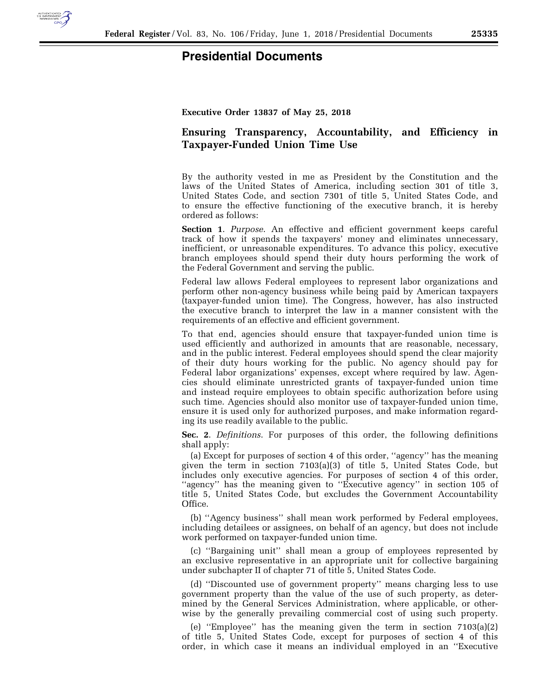

## **Presidential Documents**

**Executive Order 13837 of May 25, 2018** 

## **Ensuring Transparency, Accountability, and Efficiency in Taxpayer-Funded Union Time Use**

By the authority vested in me as President by the Constitution and the laws of the United States of America, including section 301 of title 3, United States Code, and section 7301 of title 5, United States Code, and to ensure the effective functioning of the executive branch, it is hereby ordered as follows:

**Section 1**. *Purpose*. An effective and efficient government keeps careful track of how it spends the taxpayers' money and eliminates unnecessary, inefficient, or unreasonable expenditures. To advance this policy, executive branch employees should spend their duty hours performing the work of the Federal Government and serving the public.

Federal law allows Federal employees to represent labor organizations and perform other non-agency business while being paid by American taxpayers (taxpayer-funded union time). The Congress, however, has also instructed the executive branch to interpret the law in a manner consistent with the requirements of an effective and efficient government.

To that end, agencies should ensure that taxpayer-funded union time is used efficiently and authorized in amounts that are reasonable, necessary, and in the public interest. Federal employees should spend the clear majority of their duty hours working for the public. No agency should pay for Federal labor organizations' expenses, except where required by law. Agencies should eliminate unrestricted grants of taxpayer-funded union time and instead require employees to obtain specific authorization before using such time. Agencies should also monitor use of taxpayer-funded union time, ensure it is used only for authorized purposes, and make information regarding its use readily available to the public.

**Sec. 2**. *Definitions*. For purposes of this order, the following definitions shall apply:

(a) Except for purposes of section 4 of this order, ''agency'' has the meaning given the term in section 7103(a)(3) of title 5, United States Code, but includes only executive agencies. For purposes of section 4 of this order, ''agency'' has the meaning given to ''Executive agency'' in section 105 of title 5, United States Code, but excludes the Government Accountability Office.

(b) ''Agency business'' shall mean work performed by Federal employees, including detailees or assignees, on behalf of an agency, but does not include work performed on taxpayer-funded union time.

(c) ''Bargaining unit'' shall mean a group of employees represented by an exclusive representative in an appropriate unit for collective bargaining under subchapter II of chapter 71 of title 5, United States Code.

(d) ''Discounted use of government property'' means charging less to use government property than the value of the use of such property, as determined by the General Services Administration, where applicable, or otherwise by the generally prevailing commercial cost of using such property.

(e) ''Employee'' has the meaning given the term in section 7103(a)(2) of title 5, United States Code, except for purposes of section 4 of this order, in which case it means an individual employed in an ''Executive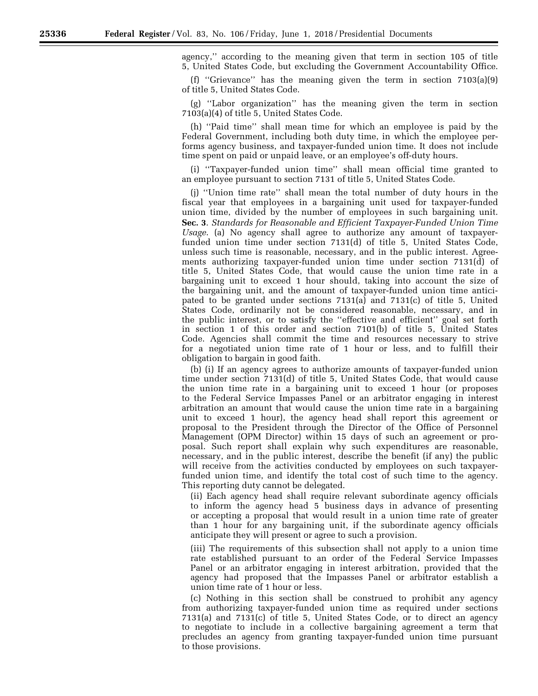agency,'' according to the meaning given that term in section 105 of title 5, United States Code, but excluding the Government Accountability Office.

(f) ''Grievance'' has the meaning given the term in section 7103(a)(9) of title 5, United States Code.

(g) ''Labor organization'' has the meaning given the term in section 7103(a)(4) of title 5, United States Code.

(h) ''Paid time'' shall mean time for which an employee is paid by the Federal Government, including both duty time, in which the employee performs agency business, and taxpayer-funded union time. It does not include time spent on paid or unpaid leave, or an employee's off-duty hours.

(i) ''Taxpayer-funded union time'' shall mean official time granted to an employee pursuant to section 7131 of title 5, United States Code.

(j) ''Union time rate'' shall mean the total number of duty hours in the fiscal year that employees in a bargaining unit used for taxpayer-funded union time, divided by the number of employees in such bargaining unit. **Sec. 3**. *Standards for Reasonable and Efficient Taxpayer-Funded Union Time Usage*. (a) No agency shall agree to authorize any amount of taxpayerfunded union time under section 7131(d) of title 5, United States Code, unless such time is reasonable, necessary, and in the public interest. Agreements authorizing taxpayer-funded union time under section 7131(d) of title 5, United States Code, that would cause the union time rate in a bargaining unit to exceed 1 hour should, taking into account the size of the bargaining unit, and the amount of taxpayer-funded union time anticipated to be granted under sections 7131(a) and 7131(c) of title 5, United States Code, ordinarily not be considered reasonable, necessary, and in the public interest, or to satisfy the ''effective and efficient'' goal set forth in section 1 of this order and section 7101(b) of title 5, United States Code. Agencies shall commit the time and resources necessary to strive for a negotiated union time rate of 1 hour or less, and to fulfill their obligation to bargain in good faith.

(b) (i) If an agency agrees to authorize amounts of taxpayer-funded union time under section 7131(d) of title 5, United States Code, that would cause the union time rate in a bargaining unit to exceed 1 hour (or proposes to the Federal Service Impasses Panel or an arbitrator engaging in interest arbitration an amount that would cause the union time rate in a bargaining unit to exceed 1 hour), the agency head shall report this agreement or proposal to the President through the Director of the Office of Personnel Management (OPM Director) within 15 days of such an agreement or proposal. Such report shall explain why such expenditures are reasonable, necessary, and in the public interest, describe the benefit (if any) the public will receive from the activities conducted by employees on such taxpayerfunded union time, and identify the total cost of such time to the agency. This reporting duty cannot be delegated.

(ii) Each agency head shall require relevant subordinate agency officials to inform the agency head 5 business days in advance of presenting or accepting a proposal that would result in a union time rate of greater than 1 hour for any bargaining unit, if the subordinate agency officials anticipate they will present or agree to such a provision.

(iii) The requirements of this subsection shall not apply to a union time rate established pursuant to an order of the Federal Service Impasses Panel or an arbitrator engaging in interest arbitration, provided that the agency had proposed that the Impasses Panel or arbitrator establish a union time rate of 1 hour or less.

(c) Nothing in this section shall be construed to prohibit any agency from authorizing taxpayer-funded union time as required under sections 7131(a) and 7131(c) of title 5, United States Code, or to direct an agency to negotiate to include in a collective bargaining agreement a term that precludes an agency from granting taxpayer-funded union time pursuant to those provisions.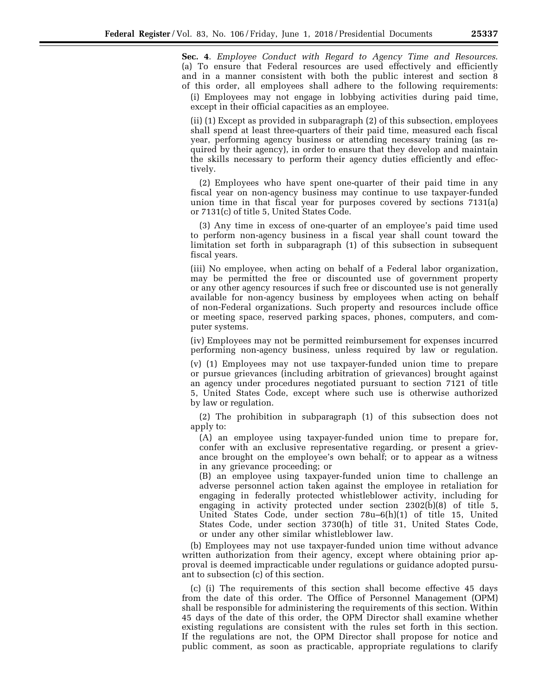**Sec. 4**. *Employee Conduct with Regard to Agency Time and Resources*. (a) To ensure that Federal resources are used effectively and efficiently and in a manner consistent with both the public interest and section 8 of this order, all employees shall adhere to the following requirements:

(i) Employees may not engage in lobbying activities during paid time, except in their official capacities as an employee.

(ii) (1) Except as provided in subparagraph (2) of this subsection, employees shall spend at least three-quarters of their paid time, measured each fiscal year, performing agency business or attending necessary training (as required by their agency), in order to ensure that they develop and maintain the skills necessary to perform their agency duties efficiently and effectively.

(2) Employees who have spent one-quarter of their paid time in any fiscal year on non-agency business may continue to use taxpayer-funded union time in that fiscal year for purposes covered by sections 7131(a) or 7131(c) of title 5, United States Code.

(3) Any time in excess of one-quarter of an employee's paid time used to perform non-agency business in a fiscal year shall count toward the limitation set forth in subparagraph (1) of this subsection in subsequent fiscal years.

(iii) No employee, when acting on behalf of a Federal labor organization, may be permitted the free or discounted use of government property or any other agency resources if such free or discounted use is not generally available for non-agency business by employees when acting on behalf of non-Federal organizations. Such property and resources include office or meeting space, reserved parking spaces, phones, computers, and computer systems.

(iv) Employees may not be permitted reimbursement for expenses incurred performing non-agency business, unless required by law or regulation.

(v) (1) Employees may not use taxpayer-funded union time to prepare or pursue grievances (including arbitration of grievances) brought against an agency under procedures negotiated pursuant to section 7121 of title 5, United States Code, except where such use is otherwise authorized by law or regulation.

(2) The prohibition in subparagraph (1) of this subsection does not apply to:

(A) an employee using taxpayer-funded union time to prepare for, confer with an exclusive representative regarding, or present a grievance brought on the employee's own behalf; or to appear as a witness in any grievance proceeding; or

(B) an employee using taxpayer-funded union time to challenge an adverse personnel action taken against the employee in retaliation for engaging in federally protected whistleblower activity, including for engaging in activity protected under section 2302(b)(8) of title 5, United States Code, under section 78u–6(h)(1) of title 15, United States Code, under section 3730(h) of title 31, United States Code, or under any other similar whistleblower law.

(b) Employees may not use taxpayer-funded union time without advance written authorization from their agency, except where obtaining prior approval is deemed impracticable under regulations or guidance adopted pursuant to subsection (c) of this section.

(c) (i) The requirements of this section shall become effective 45 days from the date of this order. The Office of Personnel Management (OPM) shall be responsible for administering the requirements of this section. Within 45 days of the date of this order, the OPM Director shall examine whether existing regulations are consistent with the rules set forth in this section. If the regulations are not, the OPM Director shall propose for notice and public comment, as soon as practicable, appropriate regulations to clarify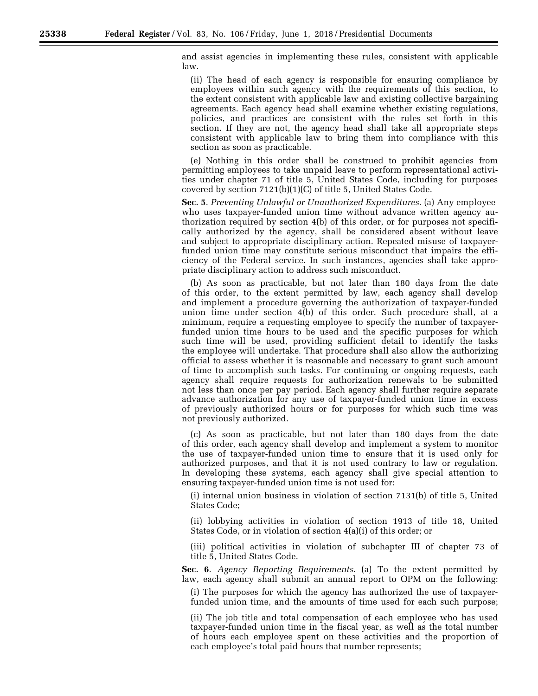and assist agencies in implementing these rules, consistent with applicable law.

(ii) The head of each agency is responsible for ensuring compliance by employees within such agency with the requirements of this section, to the extent consistent with applicable law and existing collective bargaining agreements. Each agency head shall examine whether existing regulations, policies, and practices are consistent with the rules set forth in this section. If they are not, the agency head shall take all appropriate steps consistent with applicable law to bring them into compliance with this section as soon as practicable.

(e) Nothing in this order shall be construed to prohibit agencies from permitting employees to take unpaid leave to perform representational activities under chapter 71 of title 5, United States Code, including for purposes covered by section 7121(b)(1)(C) of title 5, United States Code.

**Sec. 5**. *Preventing Unlawful or Unauthorized Expenditures*. (a) Any employee who uses taxpayer-funded union time without advance written agency authorization required by section 4(b) of this order, or for purposes not specifically authorized by the agency, shall be considered absent without leave and subject to appropriate disciplinary action. Repeated misuse of taxpayerfunded union time may constitute serious misconduct that impairs the efficiency of the Federal service. In such instances, agencies shall take appropriate disciplinary action to address such misconduct.

(b) As soon as practicable, but not later than 180 days from the date of this order, to the extent permitted by law, each agency shall develop and implement a procedure governing the authorization of taxpayer-funded union time under section 4(b) of this order. Such procedure shall, at a minimum, require a requesting employee to specify the number of taxpayerfunded union time hours to be used and the specific purposes for which such time will be used, providing sufficient detail to identify the tasks the employee will undertake. That procedure shall also allow the authorizing official to assess whether it is reasonable and necessary to grant such amount of time to accomplish such tasks. For continuing or ongoing requests, each agency shall require requests for authorization renewals to be submitted not less than once per pay period. Each agency shall further require separate advance authorization for any use of taxpayer-funded union time in excess of previously authorized hours or for purposes for which such time was not previously authorized.

(c) As soon as practicable, but not later than 180 days from the date of this order, each agency shall develop and implement a system to monitor the use of taxpayer-funded union time to ensure that it is used only for authorized purposes, and that it is not used contrary to law or regulation. In developing these systems, each agency shall give special attention to ensuring taxpayer-funded union time is not used for:

(i) internal union business in violation of section 7131(b) of title 5, United States Code;

(ii) lobbying activities in violation of section 1913 of title 18, United States Code, or in violation of section 4(a)(i) of this order; or

(iii) political activities in violation of subchapter III of chapter 73 of title 5, United States Code.

**Sec. 6**. *Agency Reporting Requirements*. (a) To the extent permitted by law, each agency shall submit an annual report to OPM on the following:

(i) The purposes for which the agency has authorized the use of taxpayerfunded union time, and the amounts of time used for each such purpose;

(ii) The job title and total compensation of each employee who has used taxpayer-funded union time in the fiscal year, as well as the total number of hours each employee spent on these activities and the proportion of each employee's total paid hours that number represents;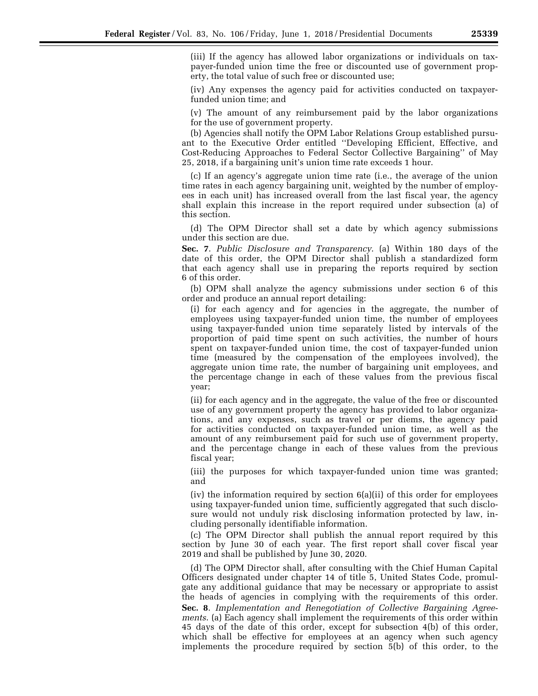(iii) If the agency has allowed labor organizations or individuals on taxpayer-funded union time the free or discounted use of government property, the total value of such free or discounted use;

(iv) Any expenses the agency paid for activities conducted on taxpayerfunded union time; and

(v) The amount of any reimbursement paid by the labor organizations for the use of government property.

(b) Agencies shall notify the OPM Labor Relations Group established pursuant to the Executive Order entitled ''Developing Efficient, Effective, and Cost-Reducing Approaches to Federal Sector Collective Bargaining'' of May 25, 2018, if a bargaining unit's union time rate exceeds 1 hour.

(c) If an agency's aggregate union time rate (i.e., the average of the union time rates in each agency bargaining unit, weighted by the number of employees in each unit) has increased overall from the last fiscal year, the agency shall explain this increase in the report required under subsection (a) of this section.

(d) The OPM Director shall set a date by which agency submissions under this section are due.

**Sec. 7**. *Public Disclosure and Transparency*. (a) Within 180 days of the date of this order, the OPM Director shall publish a standardized form that each agency shall use in preparing the reports required by section 6 of this order.

(b) OPM shall analyze the agency submissions under section 6 of this order and produce an annual report detailing:

(i) for each agency and for agencies in the aggregate, the number of employees using taxpayer-funded union time, the number of employees using taxpayer-funded union time separately listed by intervals of the proportion of paid time spent on such activities, the number of hours spent on taxpayer-funded union time, the cost of taxpayer-funded union time (measured by the compensation of the employees involved), the aggregate union time rate, the number of bargaining unit employees, and the percentage change in each of these values from the previous fiscal year;

(ii) for each agency and in the aggregate, the value of the free or discounted use of any government property the agency has provided to labor organizations, and any expenses, such as travel or per diems, the agency paid for activities conducted on taxpayer-funded union time, as well as the amount of any reimbursement paid for such use of government property, and the percentage change in each of these values from the previous fiscal year;

(iii) the purposes for which taxpayer-funded union time was granted; and

(iv) the information required by section 6(a)(ii) of this order for employees using taxpayer-funded union time, sufficiently aggregated that such disclosure would not unduly risk disclosing information protected by law, including personally identifiable information.

(c) The OPM Director shall publish the annual report required by this section by June 30 of each year. The first report shall cover fiscal year 2019 and shall be published by June 30, 2020.

(d) The OPM Director shall, after consulting with the Chief Human Capital Officers designated under chapter 14 of title 5, United States Code, promulgate any additional guidance that may be necessary or appropriate to assist the heads of agencies in complying with the requirements of this order. **Sec. 8**. *Implementation and Renegotiation of Collective Bargaining Agreements*. (a) Each agency shall implement the requirements of this order within 45 days of the date of this order, except for subsection 4(b) of this order, which shall be effective for employees at an agency when such agency implements the procedure required by section 5(b) of this order, to the